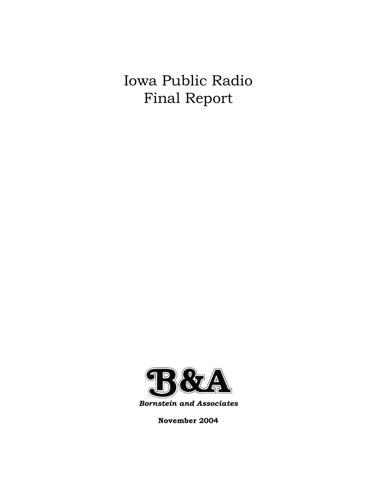# Iowa Public Radio Final Report



*Bornstein and Associates* 

**November 2004**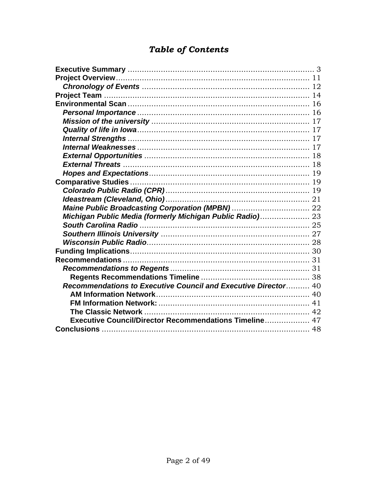# **Table of Contents**

| Michigan Public Media (formerly Michigan Public Radio) 23      |  |
|----------------------------------------------------------------|--|
|                                                                |  |
|                                                                |  |
|                                                                |  |
|                                                                |  |
|                                                                |  |
|                                                                |  |
|                                                                |  |
| Recommendations to Executive Council and Executive Director 40 |  |
|                                                                |  |
|                                                                |  |
|                                                                |  |
| Executive Council/Director Recommendations Timeline 47         |  |
|                                                                |  |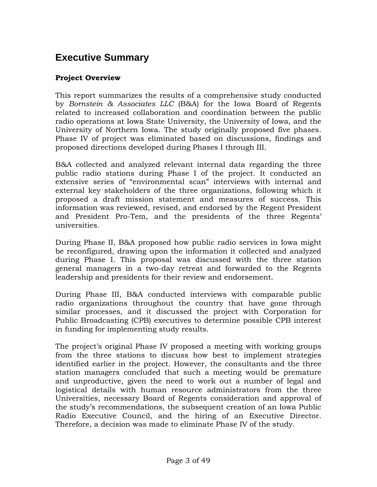# **Executive Summary**

### **Project Overview**

This report summarizes the results of a comprehensive study conducted by *Bornstein & Associates LLC* (B&A) for the Iowa Board of Regents related to increased collaboration and coordination between the public radio operations at Iowa State University, the University of Iowa, and the University of Northern Iowa. The study originally proposed five phases. Phase IV of project was eliminated based on discussions, findings and proposed directions developed during Phases I through III.

B&A collected and analyzed relevant internal data regarding the three public radio stations during Phase I of the project. It conducted an extensive series of "environmental scan" interviews with internal and external key stakeholders of the three organizations, following which it proposed a draft mission statement and measures of success. This information was reviewed, revised, and endorsed by the Regent President and President Pro-Tem, and the presidents of the three Regents' universities.

During Phase II, B&A proposed how public radio services in Iowa might be reconfigured, drawing upon the information it collected and analyzed during Phase I. This proposal was discussed with the three station general managers in a two-day retreat and forwarded to the Regents leadership and presidents for their review and endorsement.

During Phase III, B&A conducted interviews with comparable public radio organizations throughout the country that have gone through similar processes, and it discussed the project with Corporation for Public Broadcasting (CPB) executives to determine possible CPB interest in funding for implementing study results.

The project's original Phase IV proposed a meeting with working groups from the three stations to discuss how best to implement strategies identified earlier in the project. However, the consultants and the three station managers concluded that such a meeting would be premature and unproductive, given the need to work out a number of legal and logistical details with human resource administrators from the three Universities, necessary Board of Regents consideration and approval of the study's recommendations, the subsequent creation of an Iowa Public Radio Executive Council, and the hiring of an Executive Director. Therefore, a decision was made to eliminate Phase IV of the study.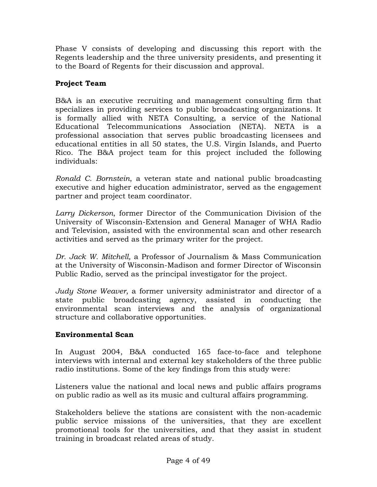Phase V consists of developing and discussing this report with the Regents leadership and the three university presidents, and presenting it to the Board of Regents for their discussion and approval.

### **Project Team**

B&A is an executive recruiting and management consulting firm that specializes in providing services to public broadcasting organizations. It is formally allied with NETA Consulting, a service of the National Educational Telecommunications Association (NETA). NETA is a professional association that serves public broadcasting licensees and educational entities in all 50 states, the U.S. Virgin Islands, and Puerto Rico. The B&A project team for this project included the following individuals:

*Ronald C. Bornstein*, a veteran state and national public broadcasting executive and higher education administrator, served as the engagement partner and project team coordinator.

*Larry Dickerson*, former Director of the Communication Division of the University of Wisconsin-Extension and General Manager of WHA Radio and Television, assisted with the environmental scan and other research activities and served as the primary writer for the project.

*Dr. Jack W. Mitchell,* a Professor of Journalism & Mass Communication at the University of Wisconsin-Madison and former Director of Wisconsin Public Radio, served as the principal investigator for the project.

*Judy Stone Weaver*, a former university administrator and director of a state public broadcasting agency, assisted in conducting the environmental scan interviews and the analysis of organizational structure and collaborative opportunities.

### **Environmental Scan**

In August 2004, B&A conducted 165 face-to-face and telephone interviews with internal and external key stakeholders of the three public radio institutions. Some of the key findings from this study were:

Listeners value the national and local news and public affairs programs on public radio as well as its music and cultural affairs programming.

Stakeholders believe the stations are consistent with the non-academic public service missions of the universities, that they are excellent promotional tools for the universities, and that they assist in student training in broadcast related areas of study.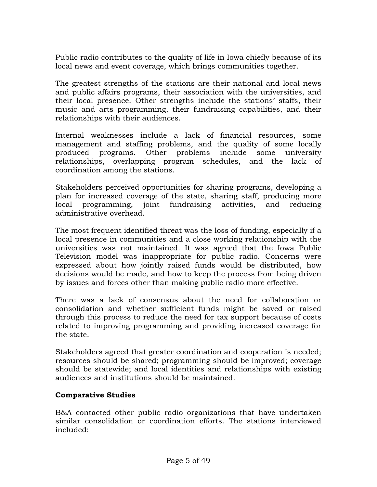Public radio contributes to the quality of life in Iowa chiefly because of its local news and event coverage, which brings communities together.

The greatest strengths of the stations are their national and local news and public affairs programs, their association with the universities, and their local presence. Other strengths include the stations' staffs, their music and arts programming, their fundraising capabilities, and their relationships with their audiences.

Internal weaknesses include a lack of financial resources, some management and staffing problems, and the quality of some locally produced programs. Other problems include some university relationships, overlapping program schedules, and the lack of coordination among the stations.

Stakeholders perceived opportunities for sharing programs, developing a plan for increased coverage of the state, sharing staff, producing more local programming, joint fundraising activities, and reducing administrative overhead.

The most frequent identified threat was the loss of funding, especially if a local presence in communities and a close working relationship with the universities was not maintained. It was agreed that the Iowa Public Television model was inappropriate for public radio. Concerns were expressed about how jointly raised funds would be distributed, how decisions would be made, and how to keep the process from being driven by issues and forces other than making public radio more effective.

There was a lack of consensus about the need for collaboration or consolidation and whether sufficient funds might be saved or raised through this process to reduce the need for tax support because of costs related to improving programming and providing increased coverage for the state.

Stakeholders agreed that greater coordination and cooperation is needed; resources should be shared; programming should be improved; coverage should be statewide; and local identities and relationships with existing audiences and institutions should be maintained.

### **Comparative Studies**

B&A contacted other public radio organizations that have undertaken similar consolidation or coordination efforts. The stations interviewed included: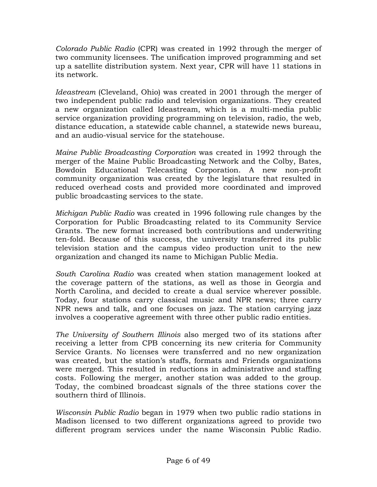*Colorado Public Radio* (CPR) was created in 1992 through the merger of two community licensees. The unification improved programming and set up a satellite distribution system. Next year, CPR will have 11 stations in its network.

*Ideastream* (Cleveland, Ohio) was created in 2001 through the merger of two independent public radio and television organizations. They created a new organization called Ideastream, which is a multi-media public service organization providing programming on television, radio, the web, distance education, a statewide cable channel, a statewide news bureau, and an audio-visual service for the statehouse.

*Maine Public Broadcasting Corporation* was created in 1992 through the merger of the Maine Public Broadcasting Network and the Colby, Bates, Bowdoin Educational Telecasting Corporation. A new non-profit community organization was created by the legislature that resulted in reduced overhead costs and provided more coordinated and improved public broadcasting services to the state.

*Michigan Public Radio* was created in 1996 following rule changes by the Corporation for Public Broadcasting related to its Community Service Grants. The new format increased both contributions and underwriting ten-fold. Because of this success, the university transferred its public television station and the campus video production unit to the new organization and changed its name to Michigan Public Media.

*South Carolina Radio* was created when station management looked at the coverage pattern of the stations, as well as those in Georgia and North Carolina, and decided to create a dual service wherever possible. Today, four stations carry classical music and NPR news; three carry NPR news and talk, and one focuses on jazz. The station carrying jazz involves a cooperative agreement with three other public radio entities.

*The University of Southern Illinois* also merged two of its stations after receiving a letter from CPB concerning its new criteria for Community Service Grants. No licenses were transferred and no new organization was created, but the station's staffs, formats and Friends organizations were merged. This resulted in reductions in administrative and staffing costs. Following the merger, another station was added to the group. Today, the combined broadcast signals of the three stations cover the southern third of Illinois.

*Wisconsin Public Radio* began in 1979 when two public radio stations in Madison licensed to two different organizations agreed to provide two different program services under the name Wisconsin Public Radio.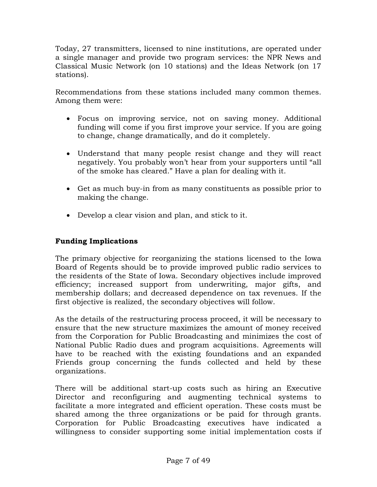Today, 27 transmitters, licensed to nine institutions, are operated under a single manager and provide two program services: the NPR News and Classical Music Network (on 10 stations) and the Ideas Network (on 17 stations).

Recommendations from these stations included many common themes. Among them were:

- Focus on improving service, not on saving money. Additional funding will come if you first improve your service. If you are going to change, change dramatically, and do it completely.
- Understand that many people resist change and they will react negatively. You probably won't hear from your supporters until "all of the smoke has cleared." Have a plan for dealing with it.
- Get as much buy-in from as many constituents as possible prior to making the change.
- Develop a clear vision and plan, and stick to it.

### **Funding Implications**

The primary objective for reorganizing the stations licensed to the Iowa Board of Regents should be to provide improved public radio services to the residents of the State of Iowa. Secondary objectives include improved efficiency; increased support from underwriting, major gifts, and membership dollars; and decreased dependence on tax revenues. If the first objective is realized, the secondary objectives will follow.

As the details of the restructuring process proceed, it will be necessary to ensure that the new structure maximizes the amount of money received from the Corporation for Public Broadcasting and minimizes the cost of National Public Radio dues and program acquisitions. Agreements will have to be reached with the existing foundations and an expanded Friends group concerning the funds collected and held by these organizations.

There will be additional start-up costs such as hiring an Executive Director and reconfiguring and augmenting technical systems to facilitate a more integrated and efficient operation. These costs must be shared among the three organizations or be paid for through grants. Corporation for Public Broadcasting executives have indicated a willingness to consider supporting some initial implementation costs if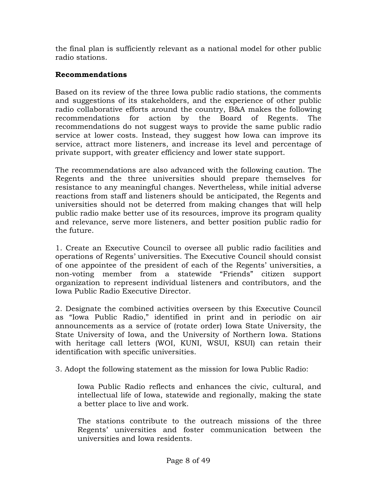the final plan is sufficiently relevant as a national model for other public radio stations.

### **Recommendations**

Based on its review of the three Iowa public radio stations, the comments and suggestions of its stakeholders, and the experience of other public radio collaborative efforts around the country, B&A makes the following recommendations for action by the Board of Regents. The recommendations do not suggest ways to provide the same public radio service at lower costs. Instead, they suggest how Iowa can improve its service, attract more listeners, and increase its level and percentage of private support, with greater efficiency and lower state support.

The recommendations are also advanced with the following caution. The Regents and the three universities should prepare themselves for resistance to any meaningful changes. Nevertheless, while initial adverse reactions from staff and listeners should be anticipated, the Regents and universities should not be deterred from making changes that will help public radio make better use of its resources, improve its program quality and relevance, serve more listeners, and better position public radio for the future.

1. Create an Executive Council to oversee all public radio facilities and operations of Regents' universities. The Executive Council should consist of one appointee of the president of each of the Regents' universities, a non-voting member from a statewide "Friends" citizen support organization to represent individual listeners and contributors, and the Iowa Public Radio Executive Director.

2. Designate the combined activities overseen by this Executive Council as "Iowa Public Radio," identified in print and in periodic on air announcements as a service of (rotate order) Iowa State University, the State University of Iowa, and the University of Northern Iowa. Stations with heritage call letters (WOI, KUNI, WSUI, KSUI) can retain their identification with specific universities.

3. Adopt the following statement as the mission for Iowa Public Radio:

Iowa Public Radio reflects and enhances the civic, cultural, and intellectual life of Iowa, statewide and regionally, making the state a better place to live and work.

The stations contribute to the outreach missions of the three Regents' universities and foster communication between the universities and Iowa residents.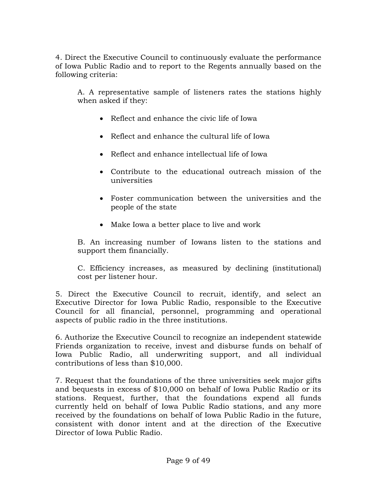4. Direct the Executive Council to continuously evaluate the performance of Iowa Public Radio and to report to the Regents annually based on the following criteria:

A. A representative sample of listeners rates the stations highly when asked if they:

- Reflect and enhance the civic life of Iowa
- Reflect and enhance the cultural life of Iowa
- Reflect and enhance intellectual life of Iowa
- Contribute to the educational outreach mission of the universities
- Foster communication between the universities and the people of the state
- Make Iowa a better place to live and work

B. An increasing number of Iowans listen to the stations and support them financially.

C. Efficiency increases, as measured by declining (institutional) cost per listener hour.

5. Direct the Executive Council to recruit, identify, and select an Executive Director for Iowa Public Radio, responsible to the Executive Council for all financial, personnel, programming and operational aspects of public radio in the three institutions.

6. Authorize the Executive Council to recognize an independent statewide Friends organization to receive, invest and disburse funds on behalf of Iowa Public Radio, all underwriting support, and all individual contributions of less than \$10,000.

7. Request that the foundations of the three universities seek major gifts and bequests in excess of \$10,000 on behalf of Iowa Public Radio or its stations. Request, further, that the foundations expend all funds currently held on behalf of Iowa Public Radio stations, and any more received by the foundations on behalf of Iowa Public Radio in the future, consistent with donor intent and at the direction of the Executive Director of Iowa Public Radio.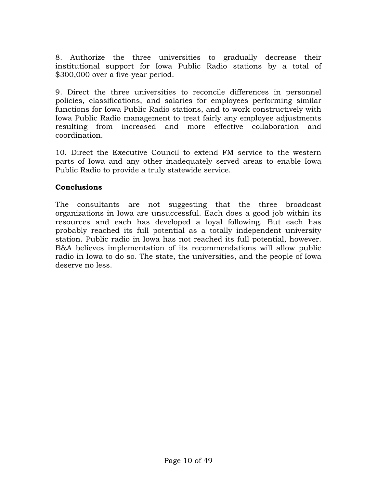8. Authorize the three universities to gradually decrease their institutional support for Iowa Public Radio stations by a total of \$300,000 over a five-year period.

9. Direct the three universities to reconcile differences in personnel policies, classifications, and salaries for employees performing similar functions for Iowa Public Radio stations, and to work constructively with Iowa Public Radio management to treat fairly any employee adjustments resulting from increased and more effective collaboration and coordination.

10. Direct the Executive Council to extend FM service to the western parts of Iowa and any other inadequately served areas to enable Iowa Public Radio to provide a truly statewide service.

### **Conclusions**

The consultants are not suggesting that the three broadcast organizations in Iowa are unsuccessful. Each does a good job within its resources and each has developed a loyal following. But each has probably reached its full potential as a totally independent university station. Public radio in Iowa has not reached its full potential, however. B&A believes implementation of its recommendations will allow public radio in Iowa to do so. The state, the universities, and the people of Iowa deserve no less.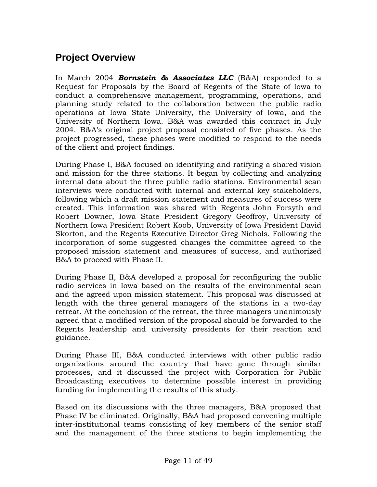# **Project Overview**

In March 2004 *Bornstein & Associates LLC* (B&A) responded to a Request for Proposals by the Board of Regents of the State of Iowa to conduct a comprehensive management, programming, operations, and planning study related to the collaboration between the public radio operations at Iowa State University, the University of Iowa, and the University of Northern Iowa. B&A was awarded this contract in July 2004. B&A's original project proposal consisted of five phases. As the project progressed, these phases were modified to respond to the needs of the client and project findings.

During Phase I, B&A focused on identifying and ratifying a shared vision and mission for the three stations. It began by collecting and analyzing internal data about the three public radio stations. Environmental scan interviews were conducted with internal and external key stakeholders, following which a draft mission statement and measures of success were created. This information was shared with Regents John Forsyth and Robert Downer, Iowa State President Gregory Geoffroy, University of Northern Iowa President Robert Koob, University of Iowa President David Skorton, and the Regents Executive Director Greg Nichols. Following the incorporation of some suggested changes the committee agreed to the proposed mission statement and measures of success, and authorized B&A to proceed with Phase II.

During Phase II, B&A developed a proposal for reconfiguring the public radio services in Iowa based on the results of the environmental scan and the agreed upon mission statement. This proposal was discussed at length with the three general managers of the stations in a two-day retreat. At the conclusion of the retreat, the three managers unanimously agreed that a modified version of the proposal should be forwarded to the Regents leadership and university presidents for their reaction and guidance.

During Phase III, B&A conducted interviews with other public radio organizations around the country that have gone through similar processes, and it discussed the project with Corporation for Public Broadcasting executives to determine possible interest in providing funding for implementing the results of this study.

Based on its discussions with the three managers, B&A proposed that Phase IV be eliminated. Originally, B&A had proposed convening multiple inter-institutional teams consisting of key members of the senior staff and the management of the three stations to begin implementing the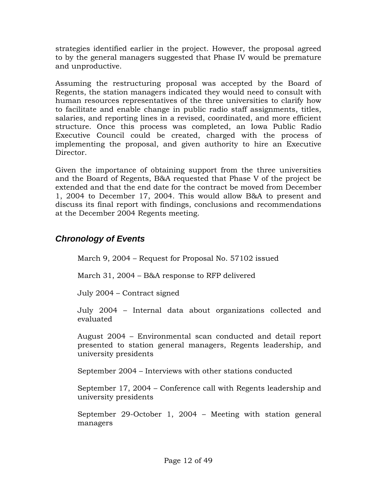strategies identified earlier in the project. However, the proposal agreed to by the general managers suggested that Phase IV would be premature and unproductive.

Assuming the restructuring proposal was accepted by the Board of Regents, the station managers indicated they would need to consult with human resources representatives of the three universities to clarify how to facilitate and enable change in public radio staff assignments, titles, salaries, and reporting lines in a revised, coordinated, and more efficient structure. Once this process was completed, an Iowa Public Radio Executive Council could be created, charged with the process of implementing the proposal, and given authority to hire an Executive Director.

Given the importance of obtaining support from the three universities and the Board of Regents, B&A requested that Phase V of the project be extended and that the end date for the contract be moved from December 1, 2004 to December 17, 2004. This would allow B&A to present and discuss its final report with findings, conclusions and recommendations at the December 2004 Regents meeting.

# *Chronology of Events*

March 9, 2004 – Request for Proposal No. 57102 issued

March 31, 2004 – B&A response to RFP delivered

July 2004 – Contract signed

July 2004 – Internal data about organizations collected and evaluated

August 2004 – Environmental scan conducted and detail report presented to station general managers, Regents leadership, and university presidents

September 2004 – Interviews with other stations conducted

September 17, 2004 – Conference call with Regents leadership and university presidents

September 29-October 1, 2004 – Meeting with station general managers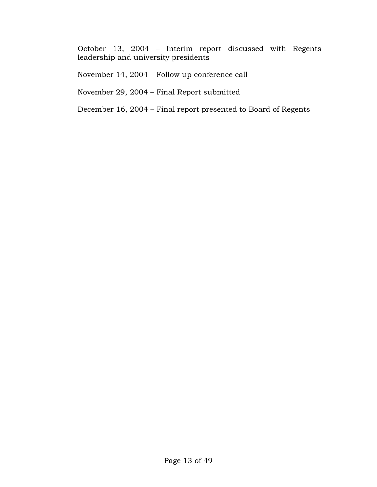October 13, 2004 – Interim report discussed with Regents leadership and university presidents

November 14, 2004 – Follow up conference call

November 29, 2004 – Final Report submitted

December 16, 2004 – Final report presented to Board of Regents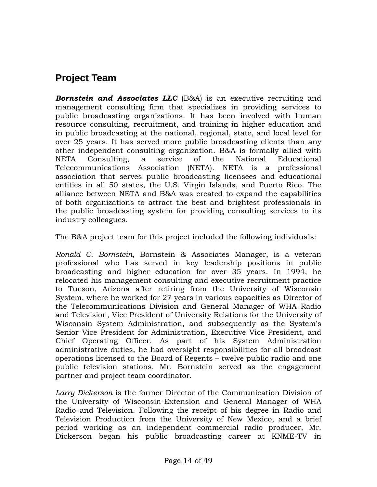# **Project Team**

**Bornstein and Associates LLC** (B&A) is an executive recruiting and management consulting firm that specializes in providing services to public broadcasting organizations. It has been involved with human resource consulting, recruitment, and training in higher education and in public broadcasting at the national, regional, state, and local level for over 25 years. It has served more public broadcasting clients than any other independent consulting organization. B&A is formally allied with NETA Consulting, a service of the National Educational Telecommunications Association (NETA). NETA is a professional association that serves public broadcasting licensees and educational entities in all 50 states, the U.S. Virgin Islands, and Puerto Rico. The alliance between NETA and B&A was created to expand the capabilities of both organizations to attract the best and brightest professionals in the public broadcasting system for providing consulting services to its industry colleagues.

The B&A project team for this project included the following individuals:

*Ronald C. Bornstein*, Bornstein & Associates Manager, is a veteran professional who has served in key leadership positions in public broadcasting and higher education for over 35 years. In 1994, he relocated his management consulting and executive recruitment practice to Tucson, Arizona after retiring from the University of Wisconsin System, where he worked for 27 years in various capacities as Director of the Telecommunications Division and General Manager of WHA Radio and Television, Vice President of University Relations for the University of Wisconsin System Administration, and subsequently as the System's Senior Vice President for Administration, Executive Vice President, and Chief Operating Officer. As part of his System Administration administrative duties, he had oversight responsibilities for all broadcast operations licensed to the Board of Regents – twelve public radio and one public television stations. Mr. Bornstein served as the engagement partner and project team coordinator.

*Larry Dickerson* is the former Director of the Communication Division of the University of Wisconsin-Extension and General Manager of WHA Radio and Television. Following the receipt of his degree in Radio and Television Production from the University of New Mexico, and a brief period working as an independent commercial radio producer, Mr. Dickerson began his public broadcasting career at KNME-TV in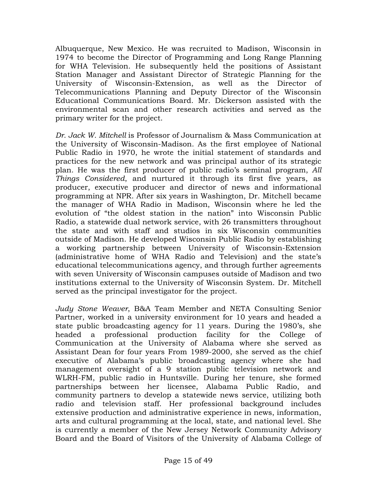Albuquerque, New Mexico. He was recruited to Madison, Wisconsin in 1974 to become the Director of Programming and Long Range Planning for WHA Television. He subsequently held the positions of Assistant Station Manager and Assistant Director of Strategic Planning for the University of Wisconsin-Extension, as well as the Director of Telecommunications Planning and Deputy Director of the Wisconsin Educational Communications Board. Mr. Dickerson assisted with the environmental scan and other research activities and served as the primary writer for the project.

*Dr. Jack W. Mitchell* is Professor of Journalism & Mass Communication at the University of Wisconsin-Madison. As the first employee of National Public Radio in 1970, he wrote the initial statement of standards and practices for the new network and was principal author of its strategic plan. He was the first producer of public radio's seminal program, *All Things Considered*, and nurtured it through its first five years, as producer, executive producer and director of news and informational programming at NPR. After six years in Washington, Dr. Mitchell became the manager of WHA Radio in Madison, Wisconsin where he led the evolution of "the oldest station in the nation" into Wisconsin Public Radio, a statewide dual network service, with 26 transmitters throughout the state and with staff and studios in six Wisconsin communities outside of Madison. He developed Wisconsin Public Radio by establishing a working partnership between University of Wisconsin-Extension (administrative home of WHA Radio and Television) and the state's educational telecommunications agency, and through further agreements with seven University of Wisconsin campuses outside of Madison and two institutions external to the University of Wisconsin System. Dr. Mitchell served as the principal investigator for the project.

*Judy Stone Weaver*, B&A Team Member and NETA Consulting Senior Partner, worked in a university environment for 10 years and headed a state public broadcasting agency for 11 years. During the 1980's, she headed a professional production facility for the College of Communication at the University of Alabama where she served as Assistant Dean for four years From 1989-2000, she served as the chief executive of Alabama's public broadcasting agency where she had management oversight of a 9 station public television network and WLRH-FM, public radio in Huntsville. During her tenure, she formed partnerships between her licensee, Alabama Public Radio, and community partners to develop a statewide news service, utilizing both radio and television staff. Her professional background includes extensive production and administrative experience in news, information, arts and cultural programming at the local, state, and national level. She is currently a member of the New Jersey Network Community Advisory Board and the Board of Visitors of the University of Alabama College of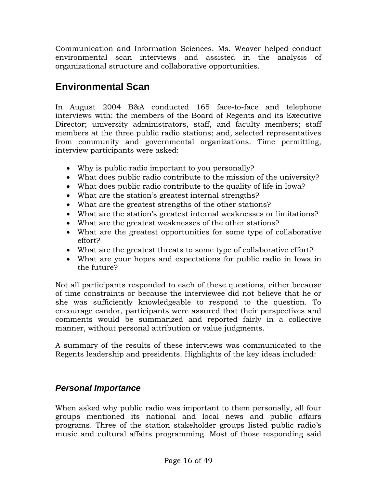Communication and Information Sciences. Ms. Weaver helped conduct environmental scan interviews and assisted in the analysis of organizational structure and collaborative opportunities.

# **Environmental Scan**

In August 2004 B&A conducted 165 face-to-face and telephone interviews with: the members of the Board of Regents and its Executive Director; university administrators, staff, and faculty members; staff members at the three public radio stations; and, selected representatives from community and governmental organizations. Time permitting, interview participants were asked:

- Why is public radio important to you personally?
- What does public radio contribute to the mission of the university?
- What does public radio contribute to the quality of life in Iowa?
- What are the station's greatest internal strengths?
- What are the greatest strengths of the other stations?
- What are the station's greatest internal weaknesses or limitations?
- What are the greatest weaknesses of the other stations?
- What are the greatest opportunities for some type of collaborative effort?
- What are the greatest threats to some type of collaborative effort?
- What are your hopes and expectations for public radio in Iowa in the future?

Not all participants responded to each of these questions, either because of time constraints or because the interviewee did not believe that he or she was sufficiently knowledgeable to respond to the question. To encourage candor, participants were assured that their perspectives and comments would be summarized and reported fairly in a collective manner, without personal attribution or value judgments.

A summary of the results of these interviews was communicated to the Regents leadership and presidents. Highlights of the key ideas included:

# *Personal Importance*

When asked why public radio was important to them personally, all four groups mentioned its national and local news and public affairs programs. Three of the station stakeholder groups listed public radio's music and cultural affairs programming. Most of those responding said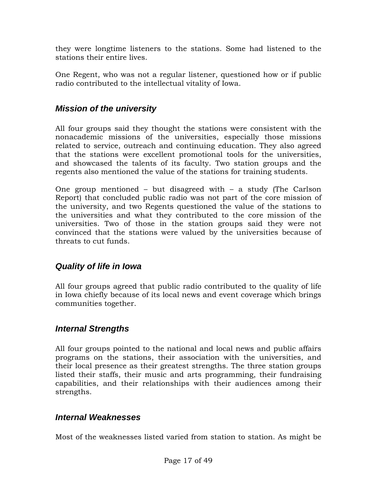they were longtime listeners to the stations. Some had listened to the stations their entire lives.

One Regent, who was not a regular listener, questioned how or if public radio contributed to the intellectual vitality of Iowa.

# *Mission of the university*

All four groups said they thought the stations were consistent with the nonacademic missions of the universities, especially those missions related to service, outreach and continuing education. They also agreed that the stations were excellent promotional tools for the universities, and showcased the talents of its faculty. Two station groups and the regents also mentioned the value of the stations for training students.

One group mentioned – but disagreed with – a study (The Carlson Report) that concluded public radio was not part of the core mission of the university, and two Regents questioned the value of the stations to the universities and what they contributed to the core mission of the universities. Two of those in the station groups said they were not convinced that the stations were valued by the universities because of threats to cut funds.

# *Quality of life in Iowa*

All four groups agreed that public radio contributed to the quality of life in Iowa chiefly because of its local news and event coverage which brings communities together.

# *Internal Strengths*

All four groups pointed to the national and local news and public affairs programs on the stations, their association with the universities, and their local presence as their greatest strengths. The three station groups listed their staffs, their music and arts programming, their fundraising capabilities, and their relationships with their audiences among their strengths.

### *Internal Weaknesses*

Most of the weaknesses listed varied from station to station. As might be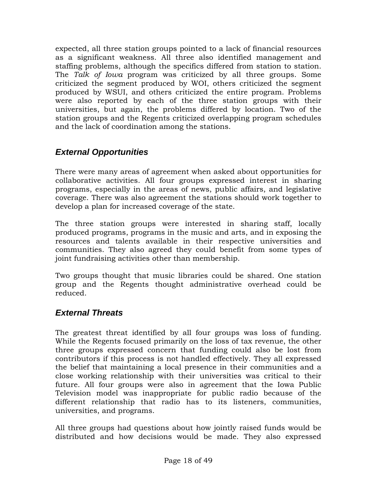expected, all three station groups pointed to a lack of financial resources as a significant weakness. All three also identified management and staffing problems, although the specifics differed from station to station. The *Talk of Iowa* program was criticized by all three groups. Some criticized the segment produced by WOI, others criticized the segment produced by WSUI, and others criticized the entire program. Problems were also reported by each of the three station groups with their universities, but again, the problems differed by location. Two of the station groups and the Regents criticized overlapping program schedules and the lack of coordination among the stations.

# *External Opportunities*

There were many areas of agreement when asked about opportunities for collaborative activities. All four groups expressed interest in sharing programs, especially in the areas of news, public affairs, and legislative coverage. There was also agreement the stations should work together to develop a plan for increased coverage of the state.

The three station groups were interested in sharing staff, locally produced programs, programs in the music and arts, and in exposing the resources and talents available in their respective universities and communities. They also agreed they could benefit from some types of joint fundraising activities other than membership.

Two groups thought that music libraries could be shared. One station group and the Regents thought administrative overhead could be reduced.

# *External Threats*

The greatest threat identified by all four groups was loss of funding. While the Regents focused primarily on the loss of tax revenue, the other three groups expressed concern that funding could also be lost from contributors if this process is not handled effectively. They all expressed the belief that maintaining a local presence in their communities and a close working relationship with their universities was critical to their future. All four groups were also in agreement that the Iowa Public Television model was inappropriate for public radio because of the different relationship that radio has to its listeners, communities, universities, and programs.

All three groups had questions about how jointly raised funds would be distributed and how decisions would be made. They also expressed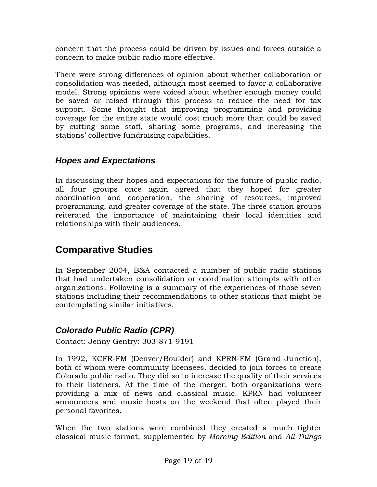concern that the process could be driven by issues and forces outside a concern to make public radio more effective.

There were strong differences of opinion about whether collaboration or consolidation was needed, although most seemed to favor a collaborative model. Strong opinions were voiced about whether enough money could be saved or raised through this process to reduce the need for tax support. Some thought that improving programming and providing coverage for the entire state would cost much more than could be saved by cutting some staff, sharing some programs, and increasing the stations' collective fundraising capabilities.

# *Hopes and Expectations*

In discussing their hopes and expectations for the future of public radio, all four groups once again agreed that they hoped for greater coordination and cooperation, the sharing of resources, improved programming, and greater coverage of the state. The three station groups reiterated the importance of maintaining their local identities and relationships with their audiences.

# **Comparative Studies**

In September 2004, B&A contacted a number of public radio stations that had undertaken consolidation or coordination attempts with other organizations. Following is a summary of the experiences of those seven stations including their recommendations to other stations that might be contemplating similar initiatives.

# *Colorado Public Radio (CPR)*

Contact: Jenny Gentry: 303-871-9191

In 1992, KCFR-FM (Denver/Boulder) and KPRN-FM (Grand Junction), both of whom were community licensees, decided to join forces to create Colorado public radio. They did so to increase the quality of their services to their listeners. At the time of the merger, both organizations were providing a mix of news and classical music. KPRN had volunteer announcers and music hosts on the weekend that often played their personal favorites.

When the two stations were combined they created a much tighter classical music format, supplemented by *Morning Edition* and *All Things*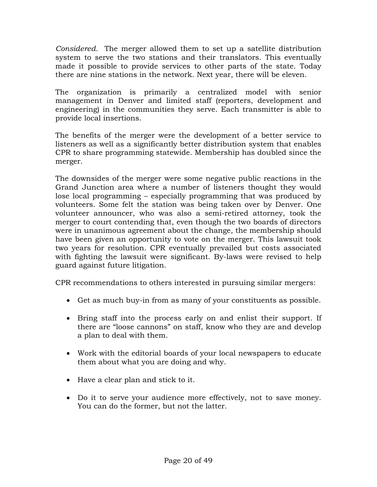*Considered.* The merger allowed them to set up a satellite distribution system to serve the two stations and their translators. This eventually made it possible to provide services to other parts of the state. Today there are nine stations in the network. Next year, there will be eleven.

The organization is primarily a centralized model with senior management in Denver and limited staff (reporters, development and engineering) in the communities they serve. Each transmitter is able to provide local insertions.

The benefits of the merger were the development of a better service to listeners as well as a significantly better distribution system that enables CPR to share programming statewide. Membership has doubled since the merger.

The downsides of the merger were some negative public reactions in the Grand Junction area where a number of listeners thought they would lose local programming – especially programming that was produced by volunteers. Some felt the station was being taken over by Denver. One volunteer announcer, who was also a semi-retired attorney, took the merger to court contending that, even though the two boards of directors were in unanimous agreement about the change, the membership should have been given an opportunity to vote on the merger. This lawsuit took two years for resolution. CPR eventually prevailed but costs associated with fighting the lawsuit were significant. By-laws were revised to help guard against future litigation.

CPR recommendations to others interested in pursuing similar mergers:

- Get as much buy-in from as many of your constituents as possible.
- Bring staff into the process early on and enlist their support. If there are "loose cannons" on staff, know who they are and develop a plan to deal with them.
- Work with the editorial boards of your local newspapers to educate them about what you are doing and why.
- Have a clear plan and stick to it.
- Do it to serve your audience more effectively, not to save money. You can do the former, but not the latter.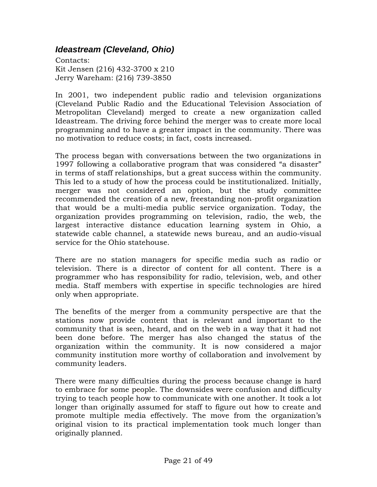# *Ideastream (Cleveland, Ohio)*

Contacts: Kit Jensen (216) 432-3700 x 210 Jerry Wareham: (216) 739-3850

In 2001, two independent public radio and television organizations (Cleveland Public Radio and the Educational Television Association of Metropolitan Cleveland) merged to create a new organization called Ideastream. The driving force behind the merger was to create more local programming and to have a greater impact in the community. There was no motivation to reduce costs; in fact, costs increased.

The process began with conversations between the two organizations in 1997 following a collaborative program that was considered "a disaster" in terms of staff relationships, but a great success within the community. This led to a study of how the process could be institutionalized. Initially, merger was not considered an option, but the study committee recommended the creation of a new, freestanding non-profit organization that would be a multi-media public service organization. Today, the organization provides programming on television, radio, the web, the largest interactive distance education learning system in Ohio, a statewide cable channel, a statewide news bureau, and an audio-visual service for the Ohio statehouse.

There are no station managers for specific media such as radio or television. There is a director of content for all content. There is a programmer who has responsibility for radio, television, web, and other media. Staff members with expertise in specific technologies are hired only when appropriate.

The benefits of the merger from a community perspective are that the stations now provide content that is relevant and important to the community that is seen, heard, and on the web in a way that it had not been done before. The merger has also changed the status of the organization within the community. It is now considered a major community institution more worthy of collaboration and involvement by community leaders.

There were many difficulties during the process because change is hard to embrace for some people. The downsides were confusion and difficulty trying to teach people how to communicate with one another. It took a lot longer than originally assumed for staff to figure out how to create and promote multiple media effectively. The move from the organization's original vision to its practical implementation took much longer than originally planned.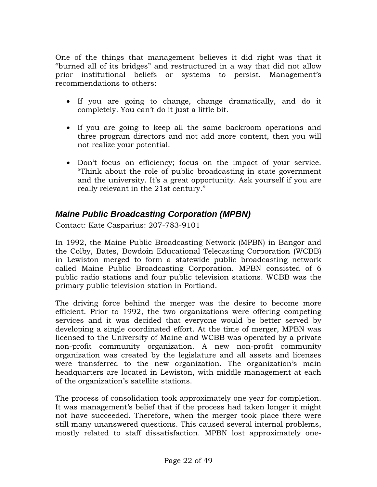One of the things that management believes it did right was that it "burned all of its bridges" and restructured in a way that did not allow prior institutional beliefs or systems to persist. Management's recommendations to others:

- If you are going to change, change dramatically, and do it completely. You can't do it just a little bit.
- If you are going to keep all the same backroom operations and three program directors and not add more content, then you will not realize your potential.
- Don't focus on efficiency; focus on the impact of your service. "Think about the role of public broadcasting in state government and the university. It's a great opportunity. Ask yourself if you are really relevant in the 21st century."

# *Maine Public Broadcasting Corporation (MPBN)*

Contact: Kate Casparius: 207-783-9101

In 1992, the Maine Public Broadcasting Network (MPBN) in Bangor and the Colby, Bates, Bowdoin Educational Telecasting Corporation (WCBB) in Lewiston merged to form a statewide public broadcasting network called Maine Public Broadcasting Corporation. MPBN consisted of 6 public radio stations and four public television stations. WCBB was the primary public television station in Portland.

The driving force behind the merger was the desire to become more efficient. Prior to 1992, the two organizations were offering competing services and it was decided that everyone would be better served by developing a single coordinated effort. At the time of merger, MPBN was licensed to the University of Maine and WCBB was operated by a private non-profit community organization. A new non-profit community organization was created by the legislature and all assets and licenses were transferred to the new organization. The organization's main headquarters are located in Lewiston, with middle management at each of the organization's satellite stations.

The process of consolidation took approximately one year for completion. It was management's belief that if the process had taken longer it might not have succeeded. Therefore, when the merger took place there were still many unanswered questions. This caused several internal problems, mostly related to staff dissatisfaction. MPBN lost approximately one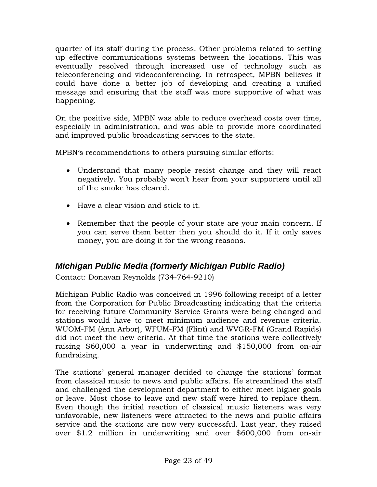quarter of its staff during the process. Other problems related to setting up effective communications systems between the locations. This was eventually resolved through increased use of technology such as teleconferencing and videoconferencing. In retrospect, MPBN believes it could have done a better job of developing and creating a unified message and ensuring that the staff was more supportive of what was happening.

On the positive side, MPBN was able to reduce overhead costs over time, especially in administration, and was able to provide more coordinated and improved public broadcasting services to the state.

MPBN's recommendations to others pursuing similar efforts:

- Understand that many people resist change and they will react negatively. You probably won't hear from your supporters until all of the smoke has cleared.
- Have a clear vision and stick to it.
- Remember that the people of your state are your main concern. If you can serve them better then you should do it. If it only saves money, you are doing it for the wrong reasons.

# *Michigan Public Media (formerly Michigan Public Radio)*

Contact: Donavan Reynolds (734-764-9210)

Michigan Public Radio was conceived in 1996 following receipt of a letter from the Corporation for Public Broadcasting indicating that the criteria for receiving future Community Service Grants were being changed and stations would have to meet minimum audience and revenue criteria. WUOM-FM (Ann Arbor), WFUM-FM (Flint) and WVGR-FM (Grand Rapids) did not meet the new criteria. At that time the stations were collectively raising \$60,000 a year in underwriting and \$150,000 from on-air fundraising.

The stations' general manager decided to change the stations' format from classical music to news and public affairs. He streamlined the staff and challenged the development department to either meet higher goals or leave. Most chose to leave and new staff were hired to replace them. Even though the initial reaction of classical music listeners was very unfavorable, new listeners were attracted to the news and public affairs service and the stations are now very successful. Last year, they raised over \$1.2 million in underwriting and over \$600,000 from on-air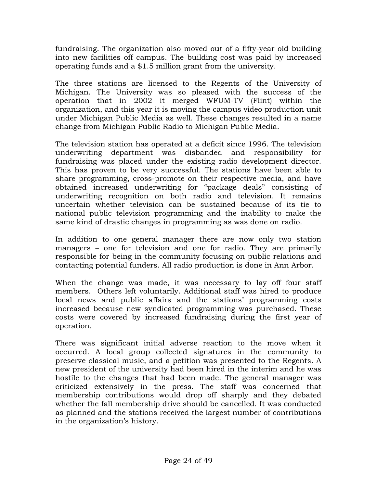fundraising. The organization also moved out of a fifty-year old building into new facilities off campus. The building cost was paid by increased operating funds and a \$1.5 million grant from the university.

The three stations are licensed to the Regents of the University of Michigan. The University was so pleased with the success of the operation that in 2002 it merged WFUM-TV (Flint) within the organization, and this year it is moving the campus video production unit under Michigan Public Media as well. These changes resulted in a name change from Michigan Public Radio to Michigan Public Media.

The television station has operated at a deficit since 1996. The television underwriting department was disbanded and responsibility for fundraising was placed under the existing radio development director. This has proven to be very successful. The stations have been able to share programming, cross-promote on their respective media, and have obtained increased underwriting for "package deals" consisting of underwriting recognition on both radio and television. It remains uncertain whether television can be sustained because of its tie to national public television programming and the inability to make the same kind of drastic changes in programming as was done on radio.

In addition to one general manager there are now only two station managers – one for television and one for radio. They are primarily responsible for being in the community focusing on public relations and contacting potential funders. All radio production is done in Ann Arbor.

When the change was made, it was necessary to lay off four staff members. Others left voluntarily. Additional staff was hired to produce local news and public affairs and the stations' programming costs increased because new syndicated programming was purchased. These costs were covered by increased fundraising during the first year of operation.

There was significant initial adverse reaction to the move when it occurred. A local group collected signatures in the community to preserve classical music, and a petition was presented to the Regents. A new president of the university had been hired in the interim and he was hostile to the changes that had been made. The general manager was criticized extensively in the press. The staff was concerned that membership contributions would drop off sharply and they debated whether the fall membership drive should be cancelled. It was conducted as planned and the stations received the largest number of contributions in the organization's history.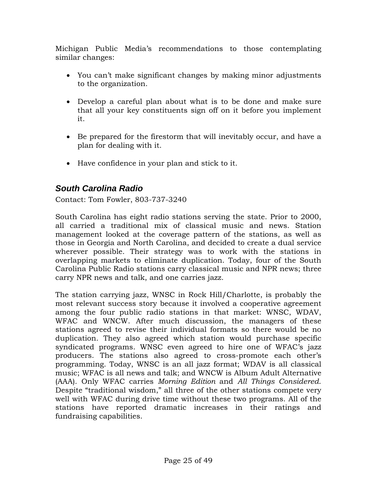Michigan Public Media's recommendations to those contemplating similar changes:

- You can't make significant changes by making minor adjustments to the organization.
- Develop a careful plan about what is to be done and make sure that all your key constituents sign off on it before you implement it.
- Be prepared for the firestorm that will inevitably occur, and have a plan for dealing with it.
- Have confidence in your plan and stick to it.

# *South Carolina Radio*

Contact: Tom Fowler, 803-737-3240

South Carolina has eight radio stations serving the state. Prior to 2000, all carried a traditional mix of classical music and news. Station management looked at the coverage pattern of the stations, as well as those in Georgia and North Carolina, and decided to create a dual service wherever possible. Their strategy was to work with the stations in overlapping markets to eliminate duplication. Today, four of the South Carolina Public Radio stations carry classical music and NPR news; three carry NPR news and talk, and one carries jazz.

The station carrying jazz, WNSC in Rock Hill/Charlotte, is probably the most relevant success story because it involved a cooperative agreement among the four public radio stations in that market: WNSC, WDAV, WFAC and WNCW. After much discussion, the managers of these stations agreed to revise their individual formats so there would be no duplication. They also agreed which station would purchase specific syndicated programs. WNSC even agreed to hire one of WFAC's jazz producers. The stations also agreed to cross-promote each other's programming. Today, WNSC is an all jazz format; WDAV is all classical music; WFAC is all news and talk; and WNCW is Album Adult Alternative (AAA). Only WFAC carries *Morning Edition* and *All Things Considered*. Despite "traditional wisdom," all three of the other stations compete very well with WFAC during drive time without these two programs. All of the stations have reported dramatic increases in their ratings and fundraising capabilities.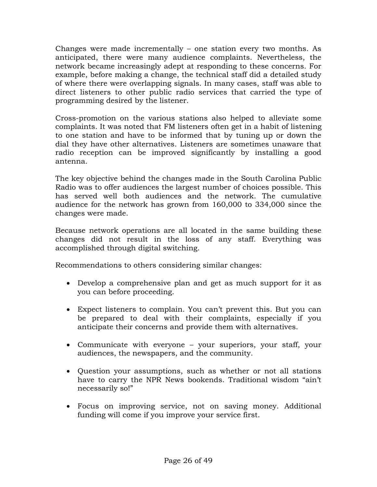Changes were made incrementally – one station every two months. As anticipated, there were many audience complaints. Nevertheless, the network became increasingly adept at responding to these concerns. For example, before making a change, the technical staff did a detailed study of where there were overlapping signals. In many cases, staff was able to direct listeners to other public radio services that carried the type of programming desired by the listener.

Cross-promotion on the various stations also helped to alleviate some complaints. It was noted that FM listeners often get in a habit of listening to one station and have to be informed that by tuning up or down the dial they have other alternatives. Listeners are sometimes unaware that radio reception can be improved significantly by installing a good antenna.

The key objective behind the changes made in the South Carolina Public Radio was to offer audiences the largest number of choices possible. This has served well both audiences and the network. The cumulative audience for the network has grown from 160,000 to 334,000 since the changes were made.

Because network operations are all located in the same building these changes did not result in the loss of any staff. Everything was accomplished through digital switching.

Recommendations to others considering similar changes:

- Develop a comprehensive plan and get as much support for it as you can before proceeding.
- Expect listeners to complain. You can't prevent this. But you can be prepared to deal with their complaints, especially if you anticipate their concerns and provide them with alternatives.
- Communicate with everyone your superiors, your staff, your audiences, the newspapers, and the community.
- Question your assumptions, such as whether or not all stations have to carry the NPR News bookends. Traditional wisdom "ain't necessarily so!"
- Focus on improving service, not on saving money. Additional funding will come if you improve your service first.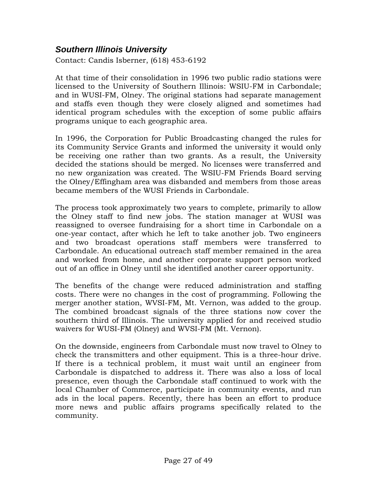# *Southern Illinois University*

Contact: Candis Isberner, (618) 453-6192

At that time of their consolidation in 1996 two public radio stations were licensed to the University of Southern Illinois: WSIU-FM in Carbondale; and in WUSI-FM, Olney. The original stations had separate management and staffs even though they were closely aligned and sometimes had identical program schedules with the exception of some public affairs programs unique to each geographic area.

In 1996, the Corporation for Public Broadcasting changed the rules for its Community Service Grants and informed the university it would only be receiving one rather than two grants. As a result, the University decided the stations should be merged. No licenses were transferred and no new organization was created. The WSIU-FM Friends Board serving the Olney/Effingham area was disbanded and members from those areas became members of the WUSI Friends in Carbondale.

The process took approximately two years to complete, primarily to allow the Olney staff to find new jobs. The station manager at WUSI was reassigned to oversee fundraising for a short time in Carbondale on a one-year contact, after which he left to take another job. Two engineers and two broadcast operations staff members were transferred to Carbondale. An educational outreach staff member remained in the area and worked from home, and another corporate support person worked out of an office in Olney until she identified another career opportunity.

The benefits of the change were reduced administration and staffing costs. There were no changes in the cost of programming. Following the merger another station, WVSI-FM, Mt. Vernon, was added to the group. The combined broadcast signals of the three stations now cover the southern third of Illinois. The university applied for and received studio waivers for WUSI-FM (Olney) and WVSI-FM (Mt. Vernon).

On the downside, engineers from Carbondale must now travel to Olney to check the transmitters and other equipment. This is a three-hour drive. If there is a technical problem, it must wait until an engineer from Carbondale is dispatched to address it. There was also a loss of local presence, even though the Carbondale staff continued to work with the local Chamber of Commerce, participate in community events, and run ads in the local papers. Recently, there has been an effort to produce more news and public affairs programs specifically related to the community.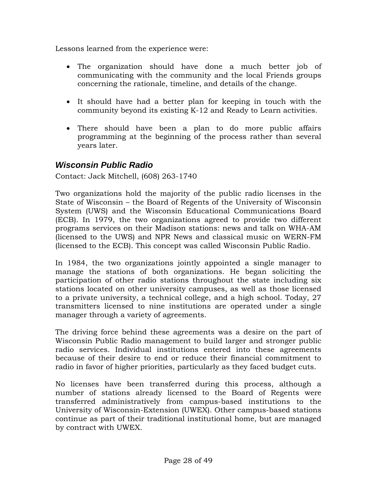Lessons learned from the experience were:

- The organization should have done a much better job of communicating with the community and the local Friends groups concerning the rationale, timeline, and details of the change.
- It should have had a better plan for keeping in touch with the community beyond its existing K-12 and Ready to Learn activities.
- There should have been a plan to do more public affairs programming at the beginning of the process rather than several years later.

## *Wisconsin Public Radio*

Contact: Jack Mitchell, (608) 263-1740

Two organizations hold the majority of the public radio licenses in the State of Wisconsin – the Board of Regents of the University of Wisconsin System (UWS) and the Wisconsin Educational Communications Board (ECB). In 1979, the two organizations agreed to provide two different programs services on their Madison stations: news and talk on WHA-AM (licensed to the UWS) and NPR News and classical music on WERN-FM (licensed to the ECB). This concept was called Wisconsin Public Radio.

In 1984, the two organizations jointly appointed a single manager to manage the stations of both organizations. He began soliciting the participation of other radio stations throughout the state including six stations located on other university campuses, as well as those licensed to a private university, a technical college, and a high school. Today, 27 transmitters licensed to nine institutions are operated under a single manager through a variety of agreements.

The driving force behind these agreements was a desire on the part of Wisconsin Public Radio management to build larger and stronger public radio services. Individual institutions entered into these agreements because of their desire to end or reduce their financial commitment to radio in favor of higher priorities, particularly as they faced budget cuts.

No licenses have been transferred during this process, although a number of stations already licensed to the Board of Regents were transferred administratively from campus-based institutions to the University of Wisconsin-Extension (UWEX). Other campus-based stations continue as part of their traditional institutional home, but are managed by contract with UWEX.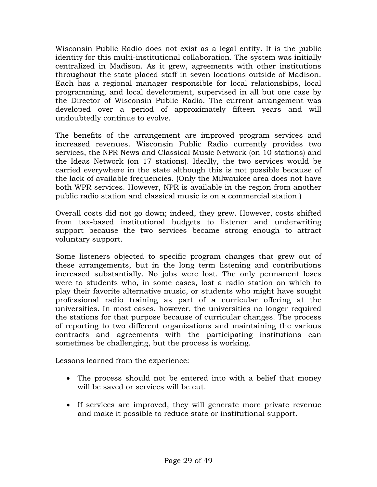Wisconsin Public Radio does not exist as a legal entity. It is the public identity for this multi-institutional collaboration. The system was initially centralized in Madison. As it grew, agreements with other institutions throughout the state placed staff in seven locations outside of Madison. Each has a regional manager responsible for local relationships, local programming, and local development, supervised in all but one case by the Director of Wisconsin Public Radio. The current arrangement was developed over a period of approximately fifteen years and will undoubtedly continue to evolve.

The benefits of the arrangement are improved program services and increased revenues. Wisconsin Public Radio currently provides two services, the NPR News and Classical Music Network (on 10 stations) and the Ideas Network (on 17 stations). Ideally, the two services would be carried everywhere in the state although this is not possible because of the lack of available frequencies. (Only the Milwaukee area does not have both WPR services. However, NPR is available in the region from another public radio station and classical music is on a commercial station.)

Overall costs did not go down; indeed, they grew. However, costs shifted from tax-based institutional budgets to listener and underwriting support because the two services became strong enough to attract voluntary support.

Some listeners objected to specific program changes that grew out of these arrangements, but in the long term listening and contributions increased substantially. No jobs were lost. The only permanent loses were to students who, in some cases, lost a radio station on which to play their favorite alternative music, or students who might have sought professional radio training as part of a curricular offering at the universities. In most cases, however, the universities no longer required the stations for that purpose because of curricular changes. The process of reporting to two different organizations and maintaining the various contracts and agreements with the participating institutions can sometimes be challenging, but the process is working.

Lessons learned from the experience:

- The process should not be entered into with a belief that money will be saved or services will be cut.
- If services are improved, they will generate more private revenue and make it possible to reduce state or institutional support.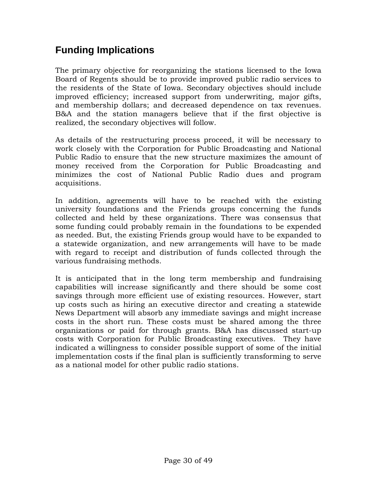# **Funding Implications**

The primary objective for reorganizing the stations licensed to the Iowa Board of Regents should be to provide improved public radio services to the residents of the State of Iowa. Secondary objectives should include improved efficiency; increased support from underwriting, major gifts, and membership dollars; and decreased dependence on tax revenues. B&A and the station managers believe that if the first objective is realized, the secondary objectives will follow.

As details of the restructuring process proceed, it will be necessary to work closely with the Corporation for Public Broadcasting and National Public Radio to ensure that the new structure maximizes the amount of money received from the Corporation for Public Broadcasting and minimizes the cost of National Public Radio dues and program acquisitions.

In addition, agreements will have to be reached with the existing university foundations and the Friends groups concerning the funds collected and held by these organizations. There was consensus that some funding could probably remain in the foundations to be expended as needed. But, the existing Friends group would have to be expanded to a statewide organization, and new arrangements will have to be made with regard to receipt and distribution of funds collected through the various fundraising methods.

It is anticipated that in the long term membership and fundraising capabilities will increase significantly and there should be some cost savings through more efficient use of existing resources. However, start up costs such as hiring an executive director and creating a statewide News Department will absorb any immediate savings and might increase costs in the short run. These costs must be shared among the three organizations or paid for through grants. B&A has discussed start-up costs with Corporation for Public Broadcasting executives. They have indicated a willingness to consider possible support of some of the initial implementation costs if the final plan is sufficiently transforming to serve as a national model for other public radio stations.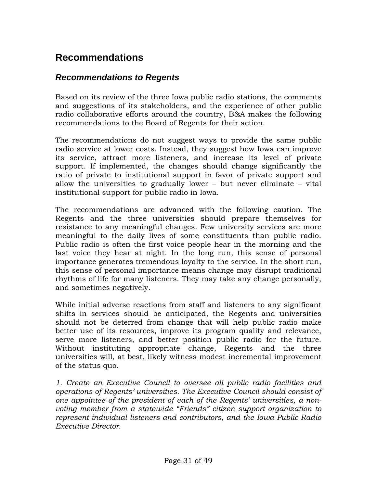# **Recommendations**

## *Recommendations to Regents*

Based on its review of the three Iowa public radio stations, the comments and suggestions of its stakeholders, and the experience of other public radio collaborative efforts around the country, B&A makes the following recommendations to the Board of Regents for their action.

The recommendations do not suggest ways to provide the same public radio service at lower costs. Instead, they suggest how Iowa can improve its service, attract more listeners, and increase its level of private support. If implemented, the changes should change significantly the ratio of private to institutional support in favor of private support and allow the universities to gradually lower – but never eliminate – vital institutional support for public radio in Iowa.

The recommendations are advanced with the following caution. The Regents and the three universities should prepare themselves for resistance to any meaningful changes. Few university services are more meaningful to the daily lives of some constituents than public radio. Public radio is often the first voice people hear in the morning and the last voice they hear at night. In the long run, this sense of personal importance generates tremendous loyalty to the service. In the short run, this sense of personal importance means change may disrupt traditional rhythms of life for many listeners. They may take any change personally, and sometimes negatively.

While initial adverse reactions from staff and listeners to any significant shifts in services should be anticipated, the Regents and universities should not be deterred from change that will help public radio make better use of its resources, improve its program quality and relevance, serve more listeners, and better position public radio for the future. Without instituting appropriate change, Regents and the three universities will, at best, likely witness modest incremental improvement of the status quo.

*1. Create an Executive Council to oversee all public radio facilities and operations of Regents' universities. The Executive Council should consist of one appointee of the president of each of the Regents' universities, a nonvoting member from a statewide "Friends" citizen support organization to represent individual listeners and contributors, and the Iowa Public Radio Executive Director.*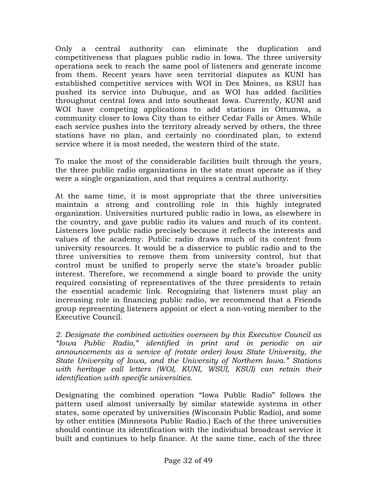Only a central authority can eliminate the duplication and competitiveness that plagues public radio in Iowa. The three university operations seek to reach the same pool of listeners and generate income from them. Recent years have seen territorial disputes as KUNI has established competitive services with WOI in Des Moines, as KSUI has pushed its service into Dubuque, and as WOI has added facilities throughout central Iowa and into southeast Iowa. Currently, KUNI and WOI have competing applications to add stations in Ottumwa, a community closer to Iowa City than to either Cedar Falls or Ames. While each service pushes into the territory already served by others, the three stations have no plan, and certainly no coordinated plan, to extend service where it is most needed, the western third of the state.

To make the most of the considerable facilities built through the years, the three public radio organizations in the state must operate as if they were a single organization, and that requires a central authority.

At the same time, it is most appropriate that the three universities maintain a strong and controlling role in this highly integrated organization. Universities nurtured public radio in Iowa, as elsewhere in the country, and gave public radio its values and much of its content. Listeners love public radio precisely because it reflects the interests and values of the academy. Public radio draws much of its content from university resources. It would be a disservice to public radio and to the three universities to remove them from university control, but that control must be unified to properly serve the state's broader public interest. Therefore, we recommend a single board to provide the unity required consisting of representatives of the three presidents to retain the essential academic link. Recognizing that listeners must play an increasing role in financing public radio, we recommend that a Friends group representing listeners appoint or elect a non-voting member to the Executive Council.

*2. Designate the combined activities overseen by this Executive Council as "Iowa Public Radio," identified in print and in periodic on air announcements as a service of (rotate order) Iowa State University, the State University of Iowa, and the University of Northern Iowa." Stations with heritage call letters (WOI, KUNI, WSUI, KSUI) can retain their identification with specific universities.* 

Designating the combined operation "Iowa Public Radio" follows the pattern used almost universally by similar statewide systems in other states, some operated by universities (Wisconsin Public Radio), and some by other entities (Minnesota Public Radio.) Each of the three universities should continue its identification with the individual broadcast service it built and continues to help finance. At the same time, each of the three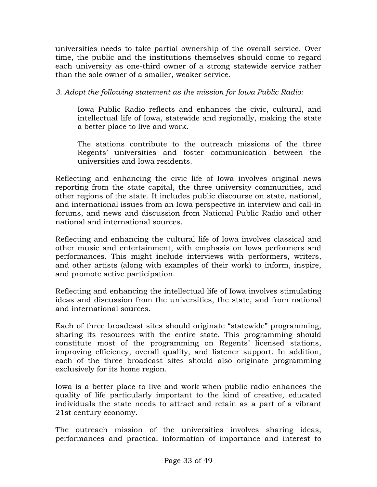universities needs to take partial ownership of the overall service. Over time, the public and the institutions themselves should come to regard each university as one-third owner of a strong statewide service rather than the sole owner of a smaller, weaker service.

*3. Adopt the following statement as the mission for Iowa Public Radio:* 

Iowa Public Radio reflects and enhances the civic, cultural, and intellectual life of Iowa, statewide and regionally, making the state a better place to live and work.

The stations contribute to the outreach missions of the three Regents' universities and foster communication between the universities and Iowa residents.

Reflecting and enhancing the civic life of Iowa involves original news reporting from the state capital, the three university communities, and other regions of the state. It includes public discourse on state, national, and international issues from an Iowa perspective in interview and call-in forums, and news and discussion from National Public Radio and other national and international sources.

Reflecting and enhancing the cultural life of Iowa involves classical and other music and entertainment, with emphasis on Iowa performers and performances. This might include interviews with performers, writers, and other artists (along with examples of their work) to inform, inspire, and promote active participation.

Reflecting and enhancing the intellectual life of Iowa involves stimulating ideas and discussion from the universities, the state, and from national and international sources.

Each of three broadcast sites should originate "statewide" programming, sharing its resources with the entire state. This programming should constitute most of the programming on Regents' licensed stations, improving efficiency, overall quality, and listener support. In addition, each of the three broadcast sites should also originate programming exclusively for its home region.

Iowa is a better place to live and work when public radio enhances the quality of life particularly important to the kind of creative, educated individuals the state needs to attract and retain as a part of a vibrant 21st century economy.

The outreach mission of the universities involves sharing ideas, performances and practical information of importance and interest to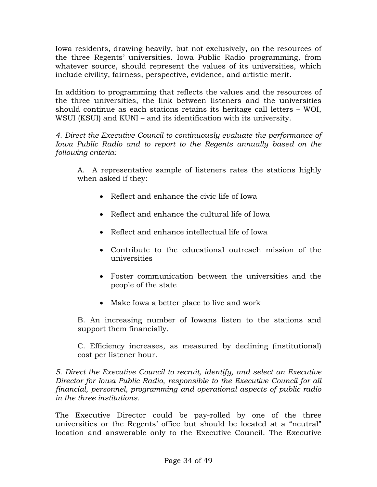Iowa residents, drawing heavily, but not exclusively, on the resources of the three Regents' universities. Iowa Public Radio programming, from whatever source, should represent the values of its universities, which include civility, fairness, perspective, evidence, and artistic merit.

In addition to programming that reflects the values and the resources of the three universities, the link between listeners and the universities should continue as each stations retains its heritage call letters – WOI, WSUI (KSUI) and KUNI – and its identification with its university.

*4. Direct the Executive Council to continuously evaluate the performance of Iowa Public Radio and to report to the Regents annually based on the following criteria:* 

A. A representative sample of listeners rates the stations highly when asked if they:

- Reflect and enhance the civic life of Iowa
- Reflect and enhance the cultural life of Iowa
- Reflect and enhance intellectual life of Iowa
- Contribute to the educational outreach mission of the universities
- Foster communication between the universities and the people of the state
- Make Iowa a better place to live and work

B. An increasing number of Iowans listen to the stations and support them financially.

C. Efficiency increases, as measured by declining (institutional) cost per listener hour.

*5. Direct the Executive Council to recruit, identify, and select an Executive Director for Iowa Public Radio, responsible to the Executive Council for all financial, personnel, programming and operational aspects of public radio in the three institutions.* 

The Executive Director could be pay-rolled by one of the three universities or the Regents' office but should be located at a "neutral" location and answerable only to the Executive Council. The Executive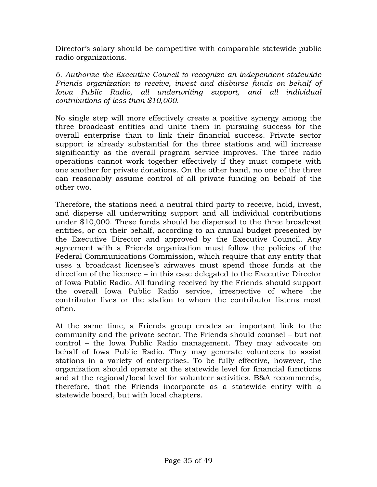Director's salary should be competitive with comparable statewide public radio organizations.

*6. Authorize the Executive Council to recognize an independent statewide Friends organization to receive, invest and disburse funds on behalf of Iowa Public Radio, all underwriting support, and all individual contributions of less than \$10,000.* 

No single step will more effectively create a positive synergy among the three broadcast entities and unite them in pursuing success for the overall enterprise than to link their financial success. Private sector support is already substantial for the three stations and will increase significantly as the overall program service improves. The three radio operations cannot work together effectively if they must compete with one another for private donations. On the other hand, no one of the three can reasonably assume control of all private funding on behalf of the other two.

Therefore, the stations need a neutral third party to receive, hold, invest, and disperse all underwriting support and all individual contributions under \$10,000. These funds should be dispersed to the three broadcast entities, or on their behalf, according to an annual budget presented by the Executive Director and approved by the Executive Council. Any agreement with a Friends organization must follow the policies of the Federal Communications Commission, which require that any entity that uses a broadcast licensee's airwaves must spend those funds at the direction of the licensee – in this case delegated to the Executive Director of Iowa Public Radio. All funding received by the Friends should support the overall Iowa Public Radio service, irrespective of where the contributor lives or the station to whom the contributor listens most often.

At the same time, a Friends group creates an important link to the community and the private sector. The Friends should counsel – but not control – the Iowa Public Radio management. They may advocate on behalf of Iowa Public Radio. They may generate volunteers to assist stations in a variety of enterprises. To be fully effective, however, the organization should operate at the statewide level for financial functions and at the regional/local level for volunteer activities. B&A recommends, therefore, that the Friends incorporate as a statewide entity with a statewide board, but with local chapters.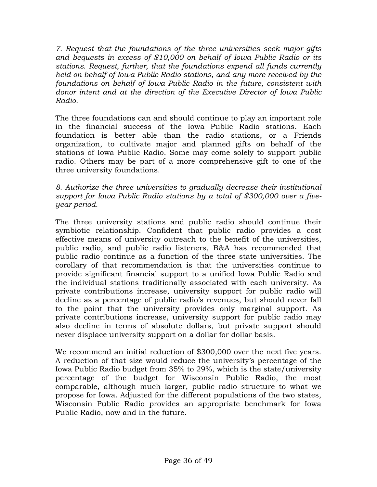*7. Request that the foundations of the three universities seek major gifts and bequests in excess of \$10,000 on behalf of Iowa Public Radio or its stations. Request, further, that the foundations expend all funds currently held on behalf of Iowa Public Radio stations, and any more received by the foundations on behalf of Iowa Public Radio in the future, consistent with donor intent and at the direction of the Executive Director of Iowa Public Radio.* 

The three foundations can and should continue to play an important role in the financial success of the Iowa Public Radio stations. Each foundation is better able than the radio stations, or a Friends organization, to cultivate major and planned gifts on behalf of the stations of Iowa Public Radio. Some may come solely to support public radio. Others may be part of a more comprehensive gift to one of the three university foundations.

*8. Authorize the three universities to gradually decrease their institutional support for Iowa Public Radio stations by a total of \$300,000 over a fiveyear period.* 

The three university stations and public radio should continue their symbiotic relationship. Confident that public radio provides a cost effective means of university outreach to the benefit of the universities, public radio, and public radio listeners, B&A has recommended that public radio continue as a function of the three state universities. The corollary of that recommendation is that the universities continue to provide significant financial support to a unified Iowa Public Radio and the individual stations traditionally associated with each university. As private contributions increase, university support for public radio will decline as a percentage of public radio's revenues, but should never fall to the point that the university provides only marginal support. As private contributions increase, university support for public radio may also decline in terms of absolute dollars, but private support should never displace university support on a dollar for dollar basis.

We recommend an initial reduction of \$300,000 over the next five years. A reduction of that size would reduce the university's percentage of the Iowa Public Radio budget from 35% to 29%, which is the state/university percentage of the budget for Wisconsin Public Radio, the most comparable, although much larger, public radio structure to what we propose for Iowa. Adjusted for the different populations of the two states, Wisconsin Public Radio provides an appropriate benchmark for Iowa Public Radio, now and in the future.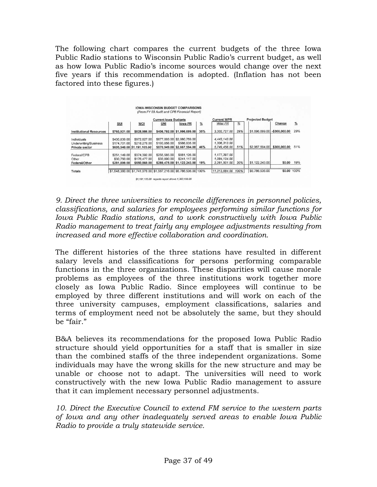The following chart compares the current budgets of the three Iowa Public Radio stations to Wisconsin Public Radio's current budget, as well as how Iowa Public Radio's income sources would change over the next five years if this recommendation is adopted. (Inflation has not been factored into these figures.)

|                                                       | <b>Current lowa Budgets</b> |                                             |              |                                                                  |               | <b>Current WPR</b>           |      | <b>Projected Budget</b> |                |               |
|-------------------------------------------------------|-----------------------------|---------------------------------------------|--------------|------------------------------------------------------------------|---------------|------------------------------|------|-------------------------|----------------|---------------|
|                                                       | <b>SUI</b>                  | <b>WOI</b>                                  | UNI          | lowa PR                                                          | $\frac{9}{6}$ | Wisc PR                      | %    |                         | Change         | $\frac{9}{6}$ |
| <b>Institutional Resources</b>                        | \$760,921.00                | \$828,986.00                                |              | \$406,792.00 \$1,996,699.00                                      | 35%           | 3.302.727.00                 | 29%  | \$1,696,699.00          | $-$300,000.00$ | 29%           |
| Individuals                                           | \$430,839.00                | \$972,827.00                                |              | \$677.093.00 \$2.080.759.00                                      |               | 4.443.143.00                 |      |                         |                |               |
| <b>Underwriting/Business</b><br><b>Private sector</b> | \$174,701.00                | \$218,278.00<br>\$605,540.00 \$1,191,105.00 | \$193,856,00 | \$586,835.00<br>\$870,949.00 \$2,667,594.00                      | 46%           | 1,306,313.00<br>5,749,456.00 | 51%  | \$2,967,594.00          | \$300,000.00   | 51%           |
| Federal/CPB                                           | \$251,149.00                | \$374,392.00                                | \$255,585.00 | \$881,126,00                                                     |               | 1,177,397.00                 |      |                         |                |               |
| Other                                                 | \$30,750.00                 | \$176,477.00                                | \$33,890,00  | \$241.117.00                                                     |               | 1,084,104.00                 |      |                         |                |               |
| Federal/Other                                         | \$281,899.00                | \$550,869.00                                |              | \$289,475.00 \$1,122,243.00                                      | 19%           | 2,261,501.00                 | 20%  | \$1,122,243.00          | \$0.00         | 19%           |
| <b>Totals</b>                                         |                             |                                             |              | \$1,648,360,00 \$1,741,978,00 \$1,567,216,00 \$5,786,536,00 100% |               | 11.313.684.00                | 100% | \$5,786,536.00          | \$0.00 100%    |               |

*9. Direct the three universities to reconcile differences in personnel policies, classifications, and salaries for employees performing similar functions for Iowa Public Radio stations, and to work constructively with Iowa Public Radio management to treat fairly any employee adjustments resulting from increased and more effective collaboration and coordination.* 

The different histories of the three stations have resulted in different salary levels and classifications for persons performing comparable functions in the three organizations. These disparities will cause morale problems as employees of the three institutions work together more closely as Iowa Public Radio. Since employees will continue to be employed by three different institutions and will work on each of the three university campuses, employment classifications, salaries and terms of employment need not be absolutely the same, but they should be "fair."

B&A believes its recommendations for the proposed Iowa Public Radio structure should yield opportunities for a staff that is smaller in size than the combined staffs of the three independent organizations. Some individuals may have the wrong skills for the new structure and may be unable or choose not to adapt. The universities will need to work constructively with the new Iowa Public Radio management to assure that it can implement necessary personnel adjustments.

*10. Direct the Executive Council to extend FM service to the western parts of Iowa and any other inadequately served areas to enable Iowa Public Radio to provide a truly statewide service.*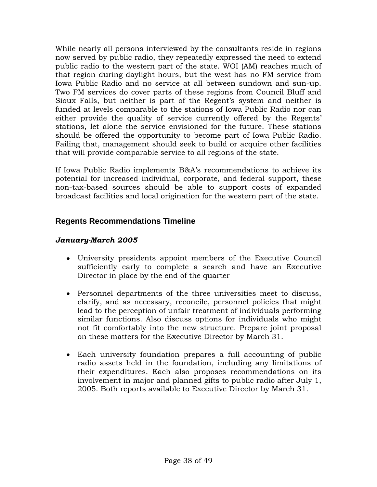While nearly all persons interviewed by the consultants reside in regions now served by public radio, they repeatedly expressed the need to extend public radio to the western part of the state. WOI (AM) reaches much of that region during daylight hours, but the west has no FM service from Iowa Public Radio and no service at all between sundown and sun-up. Two FM services do cover parts of these regions from Council Bluff and Sioux Falls, but neither is part of the Regent's system and neither is funded at levels comparable to the stations of Iowa Public Radio nor can either provide the quality of service currently offered by the Regents' stations, let alone the service envisioned for the future. These stations should be offered the opportunity to become part of Iowa Public Radio. Failing that, management should seek to build or acquire other facilities that will provide comparable service to all regions of the state.

If Iowa Public Radio implements B&A's recommendations to achieve its potential for increased individual, corporate, and federal support, these non-tax-based sources should be able to support costs of expanded broadcast facilities and local origination for the western part of the state.

### **Regents Recommendations Timeline**

#### *January-March 2005*

- University presidents appoint members of the Executive Council sufficiently early to complete a search and have an Executive Director in place by the end of the quarter
- Personnel departments of the three universities meet to discuss, clarify, and as necessary, reconcile, personnel policies that might lead to the perception of unfair treatment of individuals performing similar functions. Also discuss options for individuals who might not fit comfortably into the new structure. Prepare joint proposal on these matters for the Executive Director by March 31.
- Each university foundation prepares a full accounting of public radio assets held in the foundation, including any limitations of their expenditures. Each also proposes recommendations on its involvement in major and planned gifts to public radio after July 1, 2005. Both reports available to Executive Director by March 31.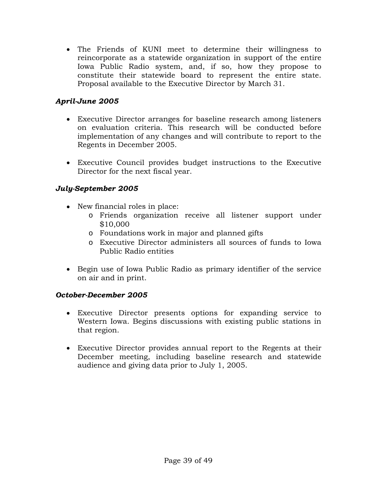• The Friends of KUNI meet to determine their willingness to reincorporate as a statewide organization in support of the entire Iowa Public Radio system, and, if so, how they propose to constitute their statewide board to represent the entire state. Proposal available to the Executive Director by March 31.

### *April-June 2005*

- Executive Director arranges for baseline research among listeners on evaluation criteria. This research will be conducted before implementation of any changes and will contribute to report to the Regents in December 2005.
- Executive Council provides budget instructions to the Executive Director for the next fiscal year.

## *July-September 2005*

- New financial roles in place:
	- o Friends organization receive all listener support under \$10,000
	- o Foundations work in major and planned gifts
	- o Executive Director administers all sources of funds to Iowa Public Radio entities
- Begin use of Iowa Public Radio as primary identifier of the service on air and in print.

### *October-December 2005*

- Executive Director presents options for expanding service to Western Iowa. Begins discussions with existing public stations in that region.
- Executive Director provides annual report to the Regents at their December meeting, including baseline research and statewide audience and giving data prior to July 1, 2005.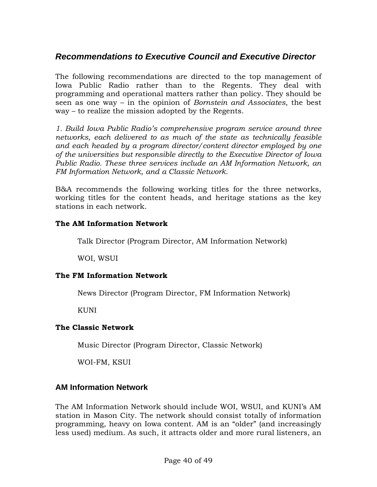# *Recommendations to Executive Council and Executive Director*

The following recommendations are directed to the top management of Iowa Public Radio rather than to the Regents. They deal with programming and operational matters rather than policy. They should be seen as one way – in the opinion of *Bornstein and Associates*, the best way – to realize the mission adopted by the Regents.

*1. Build Iowa Public Radio's comprehensive program service around three networks, each delivered to as much of the state as technically feasible and each headed by a program director/content director employed by one of the universities but responsible directly to the Executive Director of Iowa Public Radio. These three services include an AM Information Network, an FM Information Network, and a Classic Network.* 

B&A recommends the following working titles for the three networks, working titles for the content heads, and heritage stations as the key stations in each network.

#### **The AM Information Network**

Talk Director (Program Director, AM Information Network)

WOI, WSUI

### **The FM Information Network**

News Director (Program Director, FM Information Network)

KUNI

#### **The Classic Network**

Music Director (Program Director, Classic Network)

WOI-FM, KSUI

### **AM Information Network**

The AM Information Network should include WOI, WSUI, and KUNI's AM station in Mason City. The network should consist totally of information programming, heavy on Iowa content. AM is an "older" (and increasingly less used) medium. As such, it attracts older and more rural listeners, an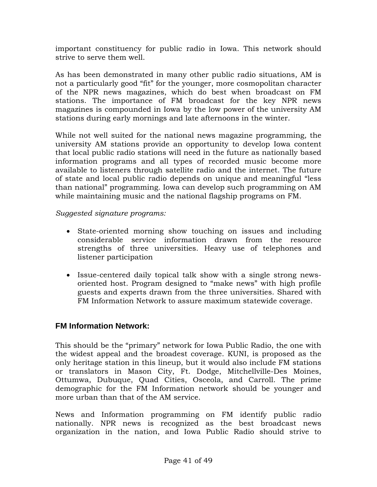important constituency for public radio in Iowa. This network should strive to serve them well.

As has been demonstrated in many other public radio situations, AM is not a particularly good "fit" for the younger, more cosmopolitan character of the NPR news magazines, which do best when broadcast on FM stations. The importance of FM broadcast for the key NPR news magazines is compounded in Iowa by the low power of the university AM stations during early mornings and late afternoons in the winter.

While not well suited for the national news magazine programming, the university AM stations provide an opportunity to develop Iowa content that local public radio stations will need in the future as nationally based information programs and all types of recorded music become more available to listeners through satellite radio and the internet. The future of state and local public radio depends on unique and meaningful "less than national" programming. Iowa can develop such programming on AM while maintaining music and the national flagship programs on FM.

*Suggested signature programs:* 

- State-oriented morning show touching on issues and including considerable service information drawn from the resource strengths of three universities. Heavy use of telephones and listener participation
- Issue-centered daily topical talk show with a single strong newsoriented host. Program designed to "make news" with high profile guests and experts drawn from the three universities. Shared with FM Information Network to assure maximum statewide coverage.

### **FM Information Network:**

This should be the "primary" network for Iowa Public Radio, the one with the widest appeal and the broadest coverage. KUNI, is proposed as the only heritage station in this lineup, but it would also include FM stations or translators in Mason City, Ft. Dodge, Mitchellville-Des Moines, Ottumwa, Dubuque, Quad Cities, Osceola, and Carroll. The prime demographic for the FM Information network should be younger and more urban than that of the AM service.

News and Information programming on FM identify public radio nationally. NPR news is recognized as the best broadcast news organization in the nation, and Iowa Public Radio should strive to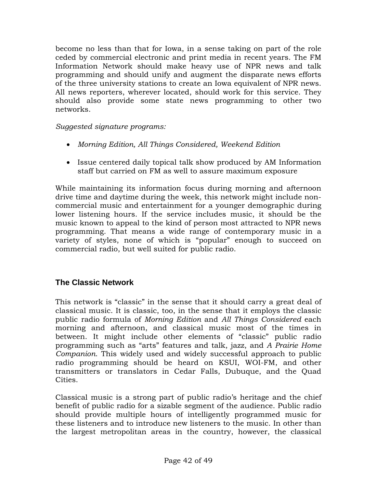become no less than that for Iowa, in a sense taking on part of the role ceded by commercial electronic and print media in recent years. The FM Information Network should make heavy use of NPR news and talk programming and should unify and augment the disparate news efforts of the three university stations to create an Iowa equivalent of NPR news. All news reporters, wherever located, should work for this service. They should also provide some state news programming to other two networks.

*Suggested signature programs:* 

- *Morning Edition, All Things Considered, Weekend Edition*
- Issue centered daily topical talk show produced by AM Information staff but carried on FM as well to assure maximum exposure

While maintaining its information focus during morning and afternoon drive time and daytime during the week, this network might include noncommercial music and entertainment for a younger demographic during lower listening hours. If the service includes music, it should be the music known to appeal to the kind of person most attracted to NPR news programming. That means a wide range of contemporary music in a variety of styles, none of which is "popular" enough to succeed on commercial radio, but well suited for public radio.

### **The Classic Network**

This network is "classic" in the sense that it should carry a great deal of classical music. It is classic, too, in the sense that it employs the classic public radio formula of *Morning Edition* and *All Things Considered* each morning and afternoon, and classical music most of the times in between. It might include other elements of "classic" public radio programming such as "arts" features and talk, jazz, and *A Prairie Home Companion*. This widely used and widely successful approach to public radio programming should be heard on KSUI, WOI-FM, and other transmitters or translators in Cedar Falls, Dubuque, and the Quad Cities.

Classical music is a strong part of public radio's heritage and the chief benefit of public radio for a sizable segment of the audience. Public radio should provide multiple hours of intelligently programmed music for these listeners and to introduce new listeners to the music. In other than the largest metropolitan areas in the country, however, the classical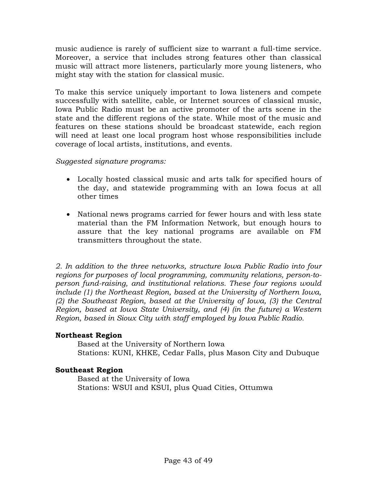music audience is rarely of sufficient size to warrant a full-time service. Moreover, a service that includes strong features other than classical music will attract more listeners, particularly more young listeners, who might stay with the station for classical music.

To make this service uniquely important to Iowa listeners and compete successfully with satellite, cable, or Internet sources of classical music, Iowa Public Radio must be an active promoter of the arts scene in the state and the different regions of the state. While most of the music and features on these stations should be broadcast statewide, each region will need at least one local program host whose responsibilities include coverage of local artists, institutions, and events.

*Suggested signature programs:* 

- Locally hosted classical music and arts talk for specified hours of the day, and statewide programming with an Iowa focus at all other times
- National news programs carried for fewer hours and with less state material than the FM Information Network, but enough hours to assure that the key national programs are available on FM transmitters throughout the state.

*2. In addition to the three networks, structure Iowa Public Radio into four regions for purposes of local programming, community relations, person-toperson fund-raising, and institutional relations. These four regions would include (1) the Northeast Region, based at the University of Northern Iowa, (2) the Southeast Region, based at the University of Iowa, (3) the Central Region, based at Iowa State University, and (4) (in the future) a Western Region, based in Sioux City with staff employed by Iowa Public Radio.* 

#### **Northeast Region**

Based at the University of Northern Iowa Stations: KUNI, KHKE, Cedar Falls, plus Mason City and Dubuque

### **Southeast Region**

Based at the University of Iowa Stations: WSUI and KSUI, plus Quad Cities, Ottumwa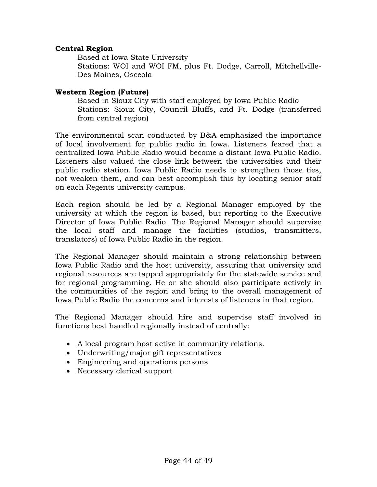#### **Central Region**

Based at Iowa State University Stations: WOI and WOI FM, plus Ft. Dodge, Carroll, Mitchellville-Des Moines, Osceola

#### **Western Region (Future)**

Based in Sioux City with staff employed by Iowa Public Radio Stations: Sioux City, Council Bluffs, and Ft. Dodge (transferred from central region)

The environmental scan conducted by B&A emphasized the importance of local involvement for public radio in Iowa. Listeners feared that a centralized Iowa Public Radio would become a distant Iowa Public Radio. Listeners also valued the close link between the universities and their public radio station. Iowa Public Radio needs to strengthen those ties, not weaken them, and can best accomplish this by locating senior staff on each Regents university campus.

Each region should be led by a Regional Manager employed by the university at which the region is based, but reporting to the Executive Director of Iowa Public Radio. The Regional Manager should supervise the local staff and manage the facilities (studios, transmitters, translators) of Iowa Public Radio in the region.

The Regional Manager should maintain a strong relationship between Iowa Public Radio and the host university, assuring that university and regional resources are tapped appropriately for the statewide service and for regional programming. He or she should also participate actively in the communities of the region and bring to the overall management of Iowa Public Radio the concerns and interests of listeners in that region.

The Regional Manager should hire and supervise staff involved in functions best handled regionally instead of centrally:

- A local program host active in community relations.
- Underwriting/major gift representatives
- Engineering and operations persons
- Necessary clerical support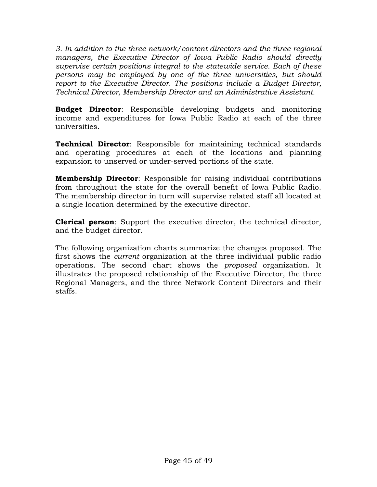*3. In addition to the three network/content directors and the three regional managers, the Executive Director of Iowa Public Radio should directly supervise certain positions integral to the statewide service. Each of these persons may be employed by one of the three universities, but should report to the Executive Director. The positions include a Budget Director, Technical Director, Membership Director and an Administrative Assistant.* 

**Budget Director**: Responsible developing budgets and monitoring income and expenditures for Iowa Public Radio at each of the three universities.

**Technical Director**: Responsible for maintaining technical standards and operating procedures at each of the locations and planning expansion to unserved or under-served portions of the state.

**Membership Director**: Responsible for raising individual contributions from throughout the state for the overall benefit of Iowa Public Radio. The membership director in turn will supervise related staff all located at a single location determined by the executive director.

**Clerical person**: Support the executive director, the technical director, and the budget director.

The following organization charts summarize the changes proposed. The first shows the *current* organization at the three individual public radio operations. The second chart shows the *proposed* organization. It illustrates the proposed relationship of the Executive Director, the three Regional Managers, and the three Network Content Directors and their staffs.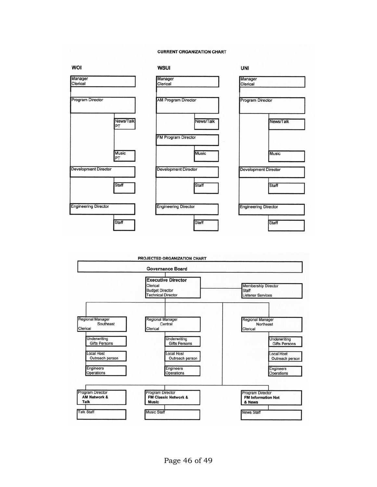#### **CURRENT ORGANIZATION CHART**



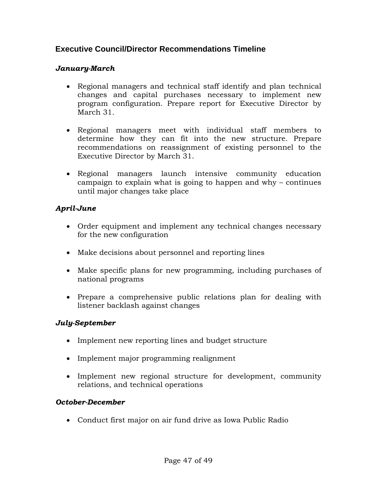# **Executive Council/Director Recommendations Timeline**

### *January-March*

- Regional managers and technical staff identify and plan technical changes and capital purchases necessary to implement new program configuration. Prepare report for Executive Director by March 31.
- Regional managers meet with individual staff members to determine how they can fit into the new structure. Prepare recommendations on reassignment of existing personnel to the Executive Director by March 31.
- Regional managers launch intensive community education campaign to explain what is going to happen and why – continues until major changes take place

### *April-June*

- Order equipment and implement any technical changes necessary for the new configuration
- Make decisions about personnel and reporting lines
- Make specific plans for new programming, including purchases of national programs
- Prepare a comprehensive public relations plan for dealing with listener backlash against changes

#### *July-September*

- Implement new reporting lines and budget structure
- Implement major programming realignment
- Implement new regional structure for development, community relations, and technical operations

#### *October-December*

• Conduct first major on air fund drive as Iowa Public Radio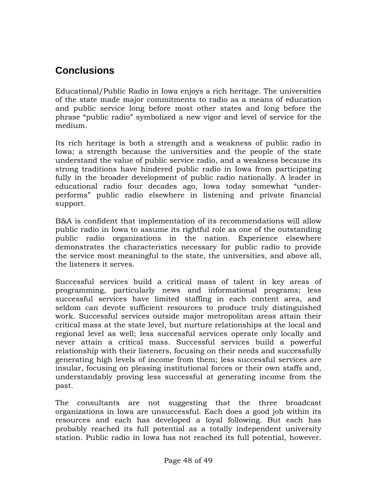# **Conclusions**

Educational/Public Radio in Iowa enjoys a rich heritage. The universities of the state made major commitments to radio as a means of education and public service long before most other states and long before the phrase "public radio" symbolized a new vigor and level of service for the medium.

Its rich heritage is both a strength and a weakness of public radio in Iowa; a strength because the universities and the people of the state understand the value of public service radio, and a weakness because its strong traditions have hindered public radio in Iowa from participating fully in the broader development of public radio nationally. A leader in educational radio four decades ago, Iowa today somewhat "underperforms" public radio elsewhere in listening and private financial support.

B&A is confident that implementation of its recommendations will allow public radio in Iowa to assume its rightful role as one of the outstanding public radio organizations in the nation. Experience elsewhere demonstrates the characteristics necessary for public radio to provide the service most meaningful to the state, the universities, and above all, the listeners it serves.

Successful services build a critical mass of talent in key areas of programming, particularly news and informational programs; less successful services have limited staffing in each content area, and seldom can devote sufficient resources to produce truly distinguished work. Successful services outside major metropolitan areas attain their critical mass at the state level, but nurture relationships at the local and regional level as well; less successful services operate only locally and never attain a critical mass. Successful services build a powerful relationship with their listeners, focusing on their needs and successfully generating high levels of income from them; less successful services are insular, focusing on pleasing institutional forces or their own staffs and, understandably proving less successful at generating income from the past.

The consultants are not suggesting that the three broadcast organizations in Iowa are unsuccessful. Each does a good job within its resources and each has developed a loyal following. But each has probably reached its full potential as a totally independent university station. Public radio in Iowa has not reached its full potential, however.